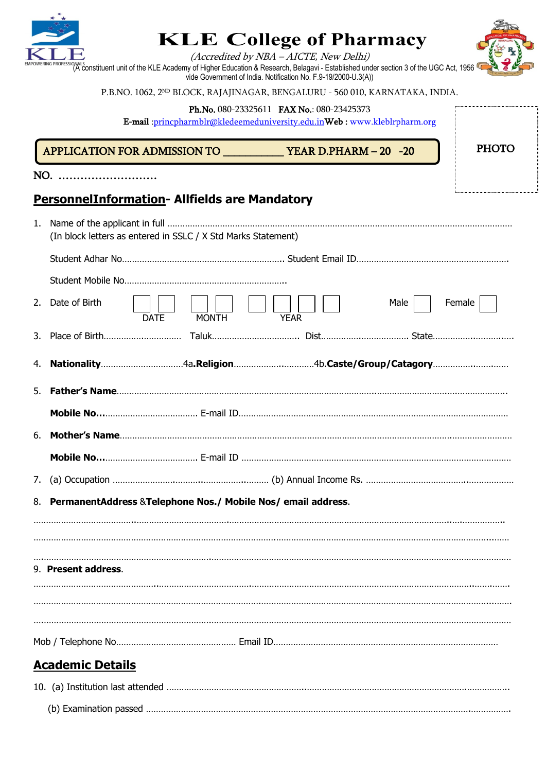

NO. ………………………

# **KLE College of Pharmacy**

(Accredited by NBA – AICTE, New Delhi)

WERING PROFESSIONALS<br>(A constituent unit of the KLE Academy of Higher Education & Research, Belagavi - Established under section 3 of the UGC Act, 1956 vide Government of India. Notification No. F.9-19/2000-U.3(A))

P.B.NO. 1062, 2<sup>ND</sup> BLOCK, RAJAJINAGAR, BENGALURU - 560 010, KARNATAKA, INDIA.

Ph.No. 080-23325611 FAX No.: 080-23425373

E-mail :princpharmblr@kledeemeduniversity.edu.inWeb : www.kleblrpharm.org

APPLICATION FOR ADMISSION TO \_\_\_\_\_\_\_\_\_\_\_ YEAR D.PHARM – 20 -20



| PHOTO |
|-------|
|       |
|       |
|       |
|       |

## **PersonnelInformation- Allfields are Mandatory**

| 1.<br>(In block letters as entered in SSLC / X Std Marks Statement) |                                                                  |             |              |             |      |        |
|---------------------------------------------------------------------|------------------------------------------------------------------|-------------|--------------|-------------|------|--------|
|                                                                     |                                                                  |             |              |             |      |        |
|                                                                     |                                                                  |             |              |             |      |        |
|                                                                     | 2. Date of Birth                                                 | <b>DATE</b> | <b>MONTH</b> | <b>YEAR</b> | Male | Female |
|                                                                     |                                                                  |             |              |             |      |        |
|                                                                     |                                                                  |             |              |             |      |        |
|                                                                     |                                                                  |             |              |             |      |        |
|                                                                     |                                                                  |             |              |             |      |        |
| 6.                                                                  |                                                                  |             |              |             |      |        |
|                                                                     |                                                                  |             |              |             |      |        |
| 7.                                                                  |                                                                  |             |              |             |      |        |
|                                                                     | 8. PermanentAddress & Telephone Nos./ Mobile Nos/ email address. |             |              |             |      |        |
|                                                                     |                                                                  |             |              |             |      |        |
|                                                                     |                                                                  |             |              |             |      |        |
|                                                                     | 9. Present address.                                              |             |              |             |      |        |
|                                                                     |                                                                  |             |              |             |      |        |
|                                                                     |                                                                  |             |              |             |      |        |
|                                                                     |                                                                  |             |              |             |      |        |
|                                                                     |                                                                  |             |              |             |      |        |
|                                                                     | <b>Academic Details</b>                                          |             |              |             |      |        |
|                                                                     |                                                                  |             |              |             |      |        |
|                                                                     |                                                                  |             |              |             |      |        |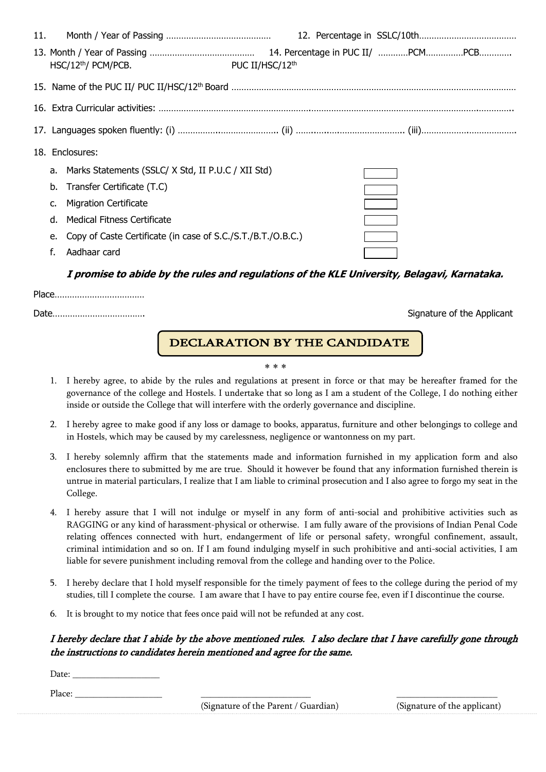| 11. |                                                              |                 |  |
|-----|--------------------------------------------------------------|-----------------|--|
|     | HSC/12 <sup>th</sup> / PCM/PCB.                              | PUC II/HSC/12th |  |
|     |                                                              |                 |  |
|     |                                                              |                 |  |
|     |                                                              |                 |  |
|     | 18. Enclosures:                                              |                 |  |
|     | a. Marks Statements (SSLC/ X Std, II P.U.C / XII Std)        |                 |  |
|     | b. Transfer Certificate (T.C)                                |                 |  |
|     | <b>Migration Certificate</b>                                 |                 |  |
|     | d. Medical Fitness Certificate                               |                 |  |
|     | Copy of Caste Certificate (in case of S.C./S.T./B.T./O.B.C.) |                 |  |
|     |                                                              |                 |  |

### **I promise to abide by the rules and regulations of the KLE University, Belagavi, Karnataka.**

Signature of the Applicant

#### $\overline{a}$ DECLARATION BY THE CANDIDATE

#### \* \* \*

- 1. I hereby agree, to abide by the rules and regulations at present in force or that may be hereafter framed for the governance of the college and Hostels. I undertake that so long as I am a student of the College, I do nothing either inside or outside the College that will interfere with the orderly governance and discipline.
- 2. I hereby agree to make good if any loss or damage to books, apparatus, furniture and other belongings to college and in Hostels, which may be caused by my carelessness, negligence or wantonness on my part.
- 3. I hereby solemnly affirm that the statements made and information furnished in my application form and also enclosures there to submitted by me are true. Should it however be found that any information furnished therein is untrue in material particulars, I realize that I am liable to criminal prosecution and I also agree to forgo my seat in the College.
- 4. I hereby assure that I will not indulge or myself in any form of anti-social and prohibitive activities such as RAGGING or any kind of harassment-physical or otherwise. I am fully aware of the provisions of Indian Penal Code relating offences connected with hurt, endangerment of life or personal safety, wrongful confinement, assault, criminal intimidation and so on. If I am found indulging myself in such prohibitive and anti-social activities, I am liable for severe punishment including removal from the college and handing over to the Police.
- 5. I hereby declare that I hold myself responsible for the timely payment of fees to the college during the period of my studies, till I complete the course. I am aware that I have to pay entire course fee, even if I discontinue the course.
- 6. It is brought to my notice that fees once paid will not be refunded at any cost.

### I hereby declare that I abide by the above mentioned rules. I also declare that I have carefully gone through the instructions to candidates herein mentioned and agree for the same.

Date: Place:  $\Box$ 

(Signature of the Parent / Guardian) (Signature of the applicant)